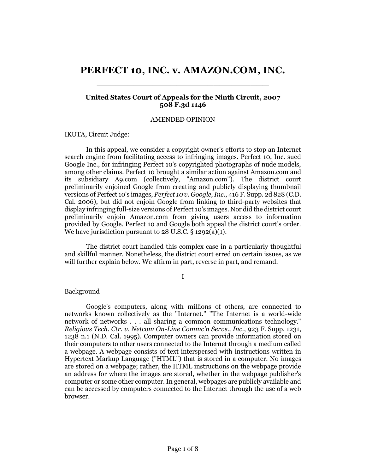# **PERFECT 10, INC. v. AMAZON.COM, INC.** \_\_\_\_\_\_\_\_\_\_\_\_\_\_\_\_\_\_\_\_\_\_\_\_\_\_\_\_

## **United States Court of Appeals for the Ninth Circuit, 2007 508 F.3d 1146**

#### AMENDED OPINION

## IKUTA, Circuit Judge:

In this appeal, we consider a copyright owner's efforts to stop an Internet search engine from facilitating access to infringing images. Perfect 10, Inc. sued Google Inc., for infringing Perfect 10's copyrighted photographs of nude models, among other claims. Perfect 10 brought a similar action against Amazon.com and its subsidiary A9.com (collectively, "Amazon.com"). The district court preliminarily enjoined Google from creating and publicly displaying thumbnail versions of Perfect 10's images, *Perfect 10 v. Google, Inc.*, 416 F. Supp. 2d 828 (C.D. Cal. 2006), but did not enjoin Google from linking to third-party websites that display infringing full-size versions of Perfect 10's images. Nor did the district court preliminarily enjoin Amazon.com from giving users access to information provided by Google. Perfect 10 and Google both appeal the district court's order. We have jurisdiction pursuant to 28 U.S.C. § 1292(a)(1).

The district court handled this complex case in a particularly thoughtful and skillful manner. Nonetheless, the district court erred on certain issues, as we will further explain below. We affirm in part, reverse in part, and remand.

I

### Background

Google's computers, along with millions of others, are connected to networks known collectively as the "Internet." "The Internet is a world-wide network of networks . . . all sharing a common communications technology." *Religious Tech. Ctr. v. Netcom On-Line Commc'n Servs., Inc.*, 923 F. Supp. 1231, 1238 n.1 (N.D. Cal. 1995). Computer owners can provide information stored on their computers to other users connected to the Internet through a medium called a webpage. A webpage consists of text interspersed with instructions written in Hypertext Markup Language ("HTML") that is stored in a computer. No images are stored on a webpage; rather, the HTML instructions on the webpage provide an address for where the images are stored, whether in the webpage publisher's computer or some other computer. In general, webpages are publicly available and can be accessed by computers connected to the Internet through the use of a web browser.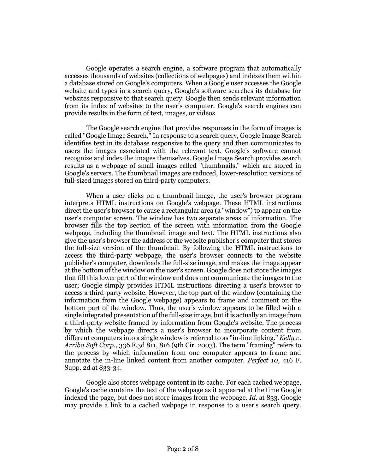Google operates a search engine, a software program that automatically accesses thousands of websites (collections of webpages) and indexes them within a database stored on Google's computers. When a Google user accesses the Google website and types in a search query, Google's software searches its database for websites responsive to that search query. Google then sends relevant information from its index of websites to the user's computer. Google's search engines can provide results in the form of text, images, or videos.

The Google search engine that provides responses in the form of images is called "Google Image Search." In response to a search query, Google Image Search identifies text in its database responsive to the query and then communicates to users the images associated with the relevant text. Google's software cannot recognize and index the images themselves. Google Image Search provides search results as a webpage of small images called "thumbnails," which are stored in Google's servers. The thumbnail images are reduced, lower-resolution versions of full-sized images stored on third-party computers.

When a user clicks on a thumbnail image, the user's browser program interprets HTML instructions on Google's webpage. These HTML instructions direct the user's browser to cause a rectangular area (a "window") to appear on the user's computer screen. The window has two separate areas of information. The browser fills the top section of the screen with information from the Google webpage, including the thumbnail image and text. The HTML instructions also give the user's browser the address of the website publisher's computer that stores the full-size version of the thumbnail. By following the HTML instructions to access the third-party webpage, the user's browser connects to the website publisher's computer, downloads the full-size image, and makes the image appear at the bottom of the window on the user's screen. Google does not store the images that fill this lower part of the window and does not communicate the images to the user; Google simply provides HTML instructions directing a user's browser to access a third-party website. However, the top part of the window (containing the information from the Google webpage) appears to frame and comment on the bottom part of the window. Thus, the user's window appears to be filled with a single integrated presentation of the full-size image, but it is actually an image from a third-party website framed by information from Google's website. The process by which the webpage directs a user's browser to incorporate content from different computers into a single window is referred to as "in-line linking." *Kelly v. Arriba Soft Corp*., 336 F.3d 811, 816 (9th Cir. 2003). The term "framing" refers to the process by which information from one computer appears to frame and annotate the in-line linked content from another computer. *Perfect 10*, 416 F. Supp. 2d at 833-34.

Google also stores webpage content in its cache. For each cached webpage, Google's cache contains the text of the webpage as it appeared at the time Google indexed the page, but does not store images from the webpage. *Id*. at 833. Google may provide a link to a cached webpage in response to a user's search query.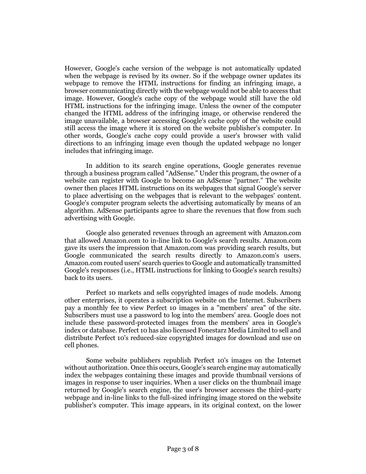However, Google's cache version of the webpage is not automatically updated when the webpage is revised by its owner. So if the webpage owner updates its webpage to remove the HTML instructions for finding an infringing image, a browser communicating directly with the webpage would not be able to access that image. However, Google's cache copy of the webpage would still have the old HTML instructions for the infringing image. Unless the owner of the computer changed the HTML address of the infringing image, or otherwise rendered the image unavailable, a browser accessing Google's cache copy of the website could still access the image where it is stored on the website publisher's computer. In other words, Google's cache copy could provide a user's browser with valid directions to an infringing image even though the updated webpage no longer includes that infringing image.

In addition to its search engine operations, Google generates revenue through a business program called "AdSense." Under this program, the owner of a website can register with Google to become an AdSense "partner." The website owner then places HTML instructions on its webpages that signal Google's server to place advertising on the webpages that is relevant to the webpages' content. Google's computer program selects the advertising automatically by means of an algorithm. AdSense participants agree to share the revenues that flow from such advertising with Google.

Google also generated revenues through an agreement with Amazon.com that allowed Amazon.com to in-line link to Google's search results. Amazon.com gave its users the impression that Amazon.com was providing search results, but Google communicated the search results directly to Amazon.com's users. Amazon.com routed users' search queries to Google and automatically transmitted Google's responses (i.e., HTML instructions for linking to Google's search results) back to its users.

Perfect 10 markets and sells copyrighted images of nude models. Among other enterprises, it operates a subscription website on the Internet. Subscribers pay a monthly fee to view Perfect 10 images in a "members' area" of the site. Subscribers must use a password to log into the members' area. Google does not include these password-protected images from the members' area in Google's index or database. Perfect 10 has also licensed Fonestarz Media Limited to sell and distribute Perfect 10's reduced-size copyrighted images for download and use on cell phones.

Some website publishers republish Perfect 10's images on the Internet without authorization. Once this occurs, Google's search engine may automatically index the webpages containing these images and provide thumbnail versions of images in response to user inquiries. When a user clicks on the thumbnail image returned by Google's search engine, the user's browser accesses the third-party webpage and in-line links to the full-sized infringing image stored on the website publisher's computer. This image appears, in its original context, on the lower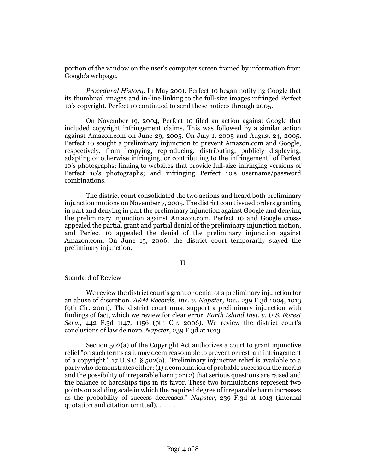portion of the window on the user's computer screen framed by information from Google's webpage.

*Procedural History.* In May 2001, Perfect 10 began notifying Google that its thumbnail images and in-line linking to the full-size images infringed Perfect 10's copyright. Perfect 10 continued to send these notices through 2005.

On November 19, 2004, Perfect 10 filed an action against Google that included copyright infringement claims. This was followed by a similar action against Amazon.com on June 29, 2005. On July 1, 2005 and August 24, 2005, Perfect 10 sought a preliminary injunction to prevent Amazon.com and Google, respectively, from "copying, reproducing, distributing, publicly displaying, adapting or otherwise infringing, or contributing to the infringement" of Perfect 10's photographs; linking to websites that provide full-size infringing versions of Perfect 10's photographs; and infringing Perfect 10's username/password combinations.

The district court consolidated the two actions and heard both preliminary injunction motions on November 7, 2005. The district court issued orders granting in part and denying in part the preliminary injunction against Google and denying the preliminary injunction against Amazon.com. Perfect 10 and Google crossappealed the partial grant and partial denial of the preliminary injunction motion, and Perfect 10 appealed the denial of the preliminary injunction against Amazon.com. On June 15, 2006, the district court temporarily stayed the preliminary injunction.

### II

### Standard of Review

We review the district court's grant or denial of a preliminary injunction for an abuse of discretion. *A&M Records, Inc. v. Napster, Inc.*, 239 F.3d 1004, 1013 (9th Cir. 2001). The district court must support a preliminary injunction with findings of fact, which we review for clear error. *Earth Island Inst. v. U.S. Forest Serv.*, 442 F.3d 1147, 1156 (9th Cir. 2006). We review the district court's conclusions of law de novo. *Napster*, 239 F.3d at 1013.

Section 502(a) of the Copyright Act authorizes a court to grant injunctive relief "on such terms as it may deem reasonable to prevent or restrain infringement of a copyright." 17 U.S.C. § 502(a). "Preliminary injunctive relief is available to a party who demonstrates either: (1) a combination of probable success on the merits and the possibility of irreparable harm; or (2) that serious questions are raised and the balance of hardships tips in its favor. These two formulations represent two points on a sliding scale in which the required degree of irreparable harm increases as the probability of success decreases." *Napster*, 239 F.3d at 1013 (internal quotation and citation omitted). . . . .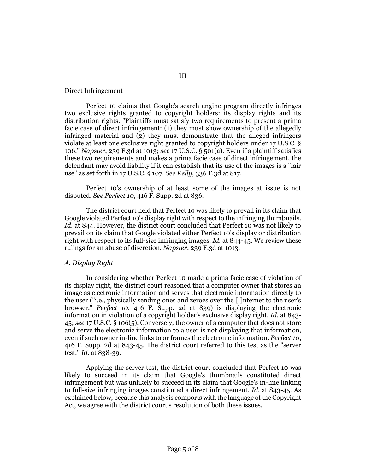## Direct Infringement

Perfect 10 claims that Google's search engine program directly infringes two exclusive rights granted to copyright holders: its display rights and its distribution rights. "Plaintiffs must satisfy two requirements to present a prima facie case of direct infringement: (1) they must show ownership of the allegedly infringed material and (2) they must demonstrate that the alleged infringers violate at least one exclusive right granted to copyright holders under 17 U.S.C. § 106." *Napster*, 239 F.3d at 1013; *see* 17 U.S.C. § 501(a). Even if a plaintiff satisfies these two requirements and makes a prima facie case of direct infringement, the defendant may avoid liability if it can establish that its use of the images is a "fair use" as set forth in 17 U.S.C. § 107. *See Kelly*, 336 F.3d at 817.

Perfect 10's ownership of at least some of the images at issue is not disputed. *See Perfect 10*, 416 F. Supp. 2d at 836.

The district court held that Perfect 10 was likely to prevail in its claim that Google violated Perfect 10's display right with respect to the infringing thumbnails. *Id*. at 844. However, the district court concluded that Perfect 10 was not likely to prevail on its claim that Google violated either Perfect 10's display or distribution right with respect to its full-size infringing images. *Id*. at 844-45. We review these rulings for an abuse of discretion. *Napster*, 239 F.3d at 1013.

## *A. Display Right*

In considering whether Perfect 10 made a prima facie case of violation of its display right, the district court reasoned that a computer owner that stores an image as electronic information and serves that electronic information directly to the user ("i.e., physically sending ones and zeroes over the [I]nternet to the user's browser," *Perfect 10*, 416 F. Supp. 2d at 839) is displaying the electronic information in violation of a copyright holder's exclusive display right. *Id.* at 843- 45; *see* 17 U.S.C. § 106(5). Conversely, the owner of a computer that does not store and serve the electronic information to a user is not displaying that information, even if such owner in-line links to or frames the electronic information. *Perfect 10*, 416 F. Supp. 2d at 843-45. The district court referred to this test as the "server test." *Id*. at 838-39.

Applying the server test, the district court concluded that Perfect 10 was likely to succeed in its claim that Google's thumbnails constituted direct infringement but was unlikely to succeed in its claim that Google's in-line linking to full-size infringing images constituted a direct infringement. *Id*. at 843-45. As explained below, because this analysis comports with the language of the Copyright Act, we agree with the district court's resolution of both these issues.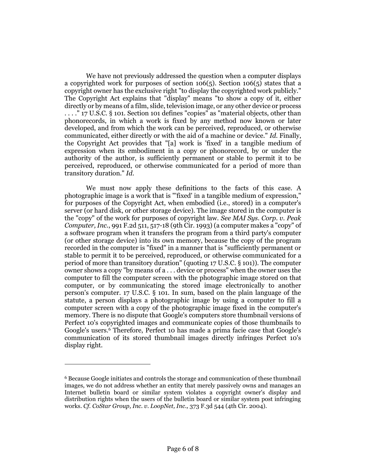We have not previously addressed the question when a computer displays a copyrighted work for purposes of section  $106(5)$ . Section  $106(5)$  states that a copyright owner has the exclusive right "to display the copyrighted work publicly." The Copyright Act explains that "display" means "to show a copy of it, either directly or by means of a film, slide, television image, or any other device or process . . . ." 17 U.S.C. § 101. Section 101 defines "copies" as "material objects, other than phonorecords, in which a work is fixed by any method now known or later developed, and from which the work can be perceived, reproduced, or otherwise communicated, either directly or with the aid of a machine or device." *Id*. Finally, the Copyright Act provides that "[a] work is 'fixed' in a tangible medium of expression when its embodiment in a copy or phonorecord, by or under the authority of the author, is sufficiently permanent or stable to permit it to be perceived, reproduced, or otherwise communicated for a period of more than transitory duration." *Id*.

We must now apply these definitions to the facts of this case. A photographic image is a work that is "'fixed' in a tangible medium of expression," for purposes of the Copyright Act, when embodied (i.e., stored) in a computer's server (or hard disk, or other storage device). The image stored in the computer is the "copy" of the work for purposes of copyright law. *See MAI Sys. Corp. v. Peak Computer, Inc.*, 991 F.2d 511, 517-18 (9th Cir. 1993) (a computer makes a "copy" of a software program when it transfers the program from a third party's computer (or other storage device) into its own memory, because the copy of the program recorded in the computer is "fixed" in a manner that is "sufficiently permanent or stable to permit it to be perceived, reproduced, or otherwise communicated for a period of more than transitory duration" (quoting 17 U.S.C. § 101)). The computer owner shows a copy "by means of a . . . device or process" when the owner uses the computer to fill the computer screen with the photographic image stored on that computer, or by communicating the stored image electronically to another person's computer. 17 U.S.C. § 101. In sum, based on the plain language of the statute, a person displays a photographic image by using a computer to fill a computer screen with a copy of the photographic image fixed in the computer's memory. There is no dispute that Google's computers store thumbnail versions of Perfect 10's copyrighted images and communicate copies of those thumbnails to Google's users.<sup>6</sup> Therefore, Perfect 10 has made a prima facie case that Google's communication of its stored thumbnail images directly infringes Perfect 10's display right.

 $\overline{a}$ 

<sup>6</sup> Because Google initiates and controls the storage and communication of these thumbnail images, we do not address whether an entity that merely passively owns and manages an Internet bulletin board or similar system violates a copyright owner's display and distribution rights when the users of the bulletin board or similar system post infringing works. *Cf. CoStar Group, Inc. v. LoopNet, Inc.,* 373 F.3d 544 (4th Cir. 2004).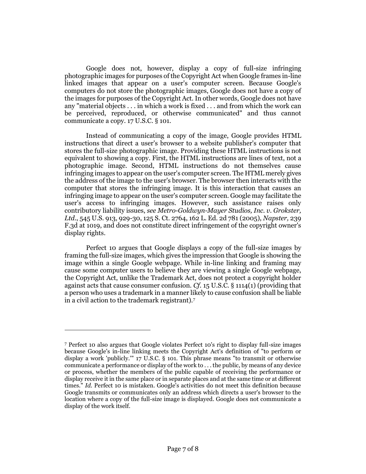Google does not, however, display a copy of full-size infringing photographic images for purposes of the Copyright Act when Google frames in-line linked images that appear on a user's computer screen. Because Google's computers do not store the photographic images, Google does not have a copy of the images for purposes of the Copyright Act. In other words, Google does not have any "material objects . . . in which a work is fixed . . . and from which the work can be perceived, reproduced, or otherwise communicated" and thus cannot communicate a copy. 17 U.S.C. § 101.

Instead of communicating a copy of the image, Google provides HTML instructions that direct a user's browser to a website publisher's computer that stores the full-size photographic image. Providing these HTML instructions is not equivalent to showing a copy. First, the HTML instructions are lines of text, not a photographic image. Second, HTML instructions do not themselves cause infringing images to appear on the user's computer screen. The HTML merely gives the address of the image to the user's browser. The browser then interacts with the computer that stores the infringing image. It is this interaction that causes an infringing image to appear on the user's computer screen. Google may facilitate the user's access to infringing images. However, such assistance raises only contributory liability issues, *see Metro-Goldwyn-Mayer Studios, Inc. v. Grokster, Ltd.*, 545 U.S. 913, 929-30, 125 S. Ct. 2764, 162 L. Ed. 2d 781 (2005), *Napster,* 239 F.3d at 1019, and does not constitute direct infringement of the copyright owner's display rights.

Perfect 10 argues that Google displays a copy of the full-size images by framing the full-size images, which gives the impression that Google is showing the image within a single Google webpage. While in-line linking and framing may cause some computer users to believe they are viewing a single Google webpage, the Copyright Act, unlike the Trademark Act, does not protect a copyright holder against acts that cause consumer confusion. *Cf.* 15 U.S.C. § 1114(1) (providing that a person who uses a trademark in a manner likely to cause confusion shall be liable in a civil action to the trademark registrant).<sup>7</sup>

 $\overline{a}$ 

<sup>7</sup> Perfect 10 also argues that Google violates Perfect 10's right to display full-size images because Google's in-line linking meets the Copyright Act's definition of "to perform or display a work 'publicly.'" 17 U.S.C. § 101. This phrase means "to transmit or otherwise communicate a performance or display of the work to . . . the public, by means of any device or process, whether the members of the public capable of receiving the performance or display receive it in the same place or in separate places and at the same time or at different times." *Id.* Perfect 10 is mistaken. Google's activities do not meet this definition because Google transmits or communicates only an address which directs a user's browser to the location where a copy of the full-size image is displayed. Google does not communicate a display of the work itself.